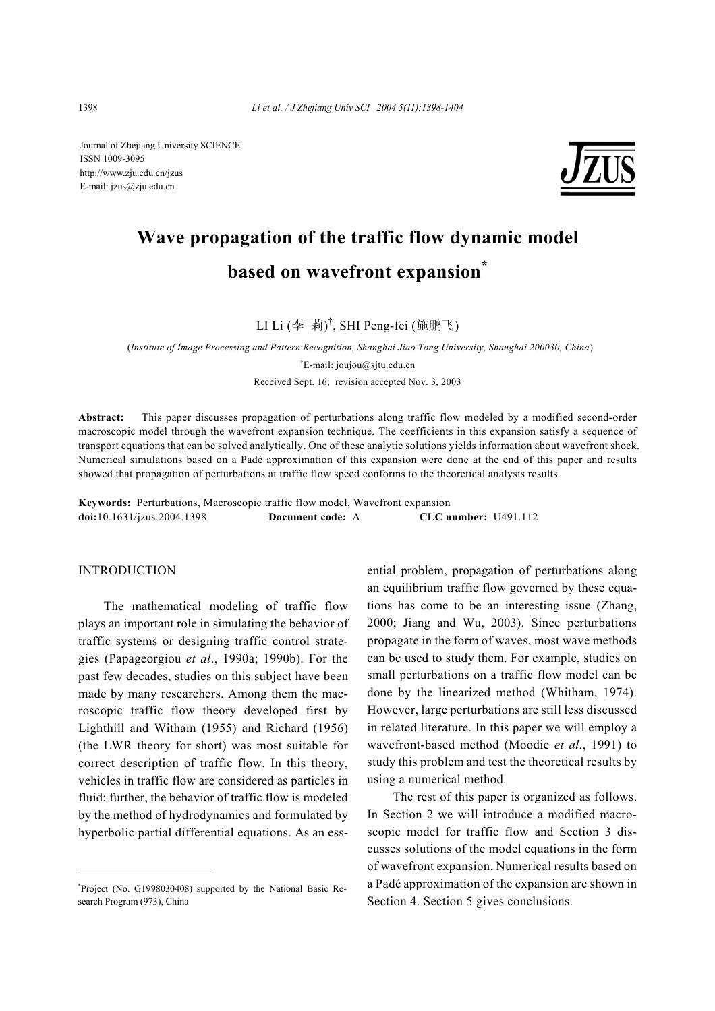Journal of Zhejiang University SCIENCE ISSN 1009-3095 http://www.zju.edu.cn/jzus E-mail: jzus@zju.edu.cn



# **Wave propagation of the traffic flow dynamic model based on wavefront expansion\***

LI Li (李 莉)<sup>†</sup>, SHI Peng-fei (施鹏飞)

(*Institute of Image Processing and Pattern Recognition, Shanghai Jiao Tong University, Shanghai 200030, China*) † E-mail: joujou@sjtu.edu.cn Received Sept. 16; revision accepted Nov. 3, 2003

**Abstract:** This paper discusses propagation of perturbations along traffic flow modeled by a modified second-order macroscopic model through the wavefront expansion technique. The coefficients in this expansion satisfy a sequence of transport equations that can be solved analytically. One of these analytic solutions yields information about wavefront shock. Numerical simulations based on a Padé approximation of this expansion were done at the end of this paper and results showed that propagation of perturbations at traffic flow speed conforms to the theoretical analysis results.

**Keywords:** Perturbations, Macroscopic traffic flow model, Wavefront expansion **doi:**10.1631/jzus.2004.1398 **Document code:** A **CLC number:** U491.112

#### INTRODUCTION

The mathematical modeling of traffic flow plays an important role in simulating the behavior of traffic systems or designing traffic control strategies (Papageorgiou *et al*., 1990a; 1990b). For the past few decades, studies on this subject have been made by many researchers. Among them the macroscopic traffic flow theory developed first by Lighthill and Witham (1955) and Richard (1956) (the LWR theory for short) was most suitable for correct description of traffic flow. In this theory, vehicles in traffic flow are considered as particles in fluid; further, the behavior of traffic flow is modeled by the method of hydrodynamics and formulated by hyperbolic partial differential equations. As an ess-

\* Project (No. G1998030408) supported by the National Basic Research Program (973), China

ential problem, propagation of perturbations along an equilibrium traffic flow governed by these equations has come to be an interesting issue (Zhang, 2000; Jiang and Wu, 2003). Since perturbations propagate in the form of waves, most wave methods can be used to study them. For example, studies on small perturbations on a traffic flow model can be done by the linearized method (Whitham, 1974). However, large perturbations are still less discussed in related literature. In this paper we will employ a wavefront-based method (Moodie *et al*., 1991) to study this problem and test the theoretical results by using a numerical method.

The rest of this paper is organized as follows. In Section 2 we will introduce a modified macroscopic model for traffic flow and Section 3 discusses solutions of the model equations in the form of wavefront expansion. Numerical results based on a Padé approximation of the expansion are shown in Section 4. Section 5 gives conclusions.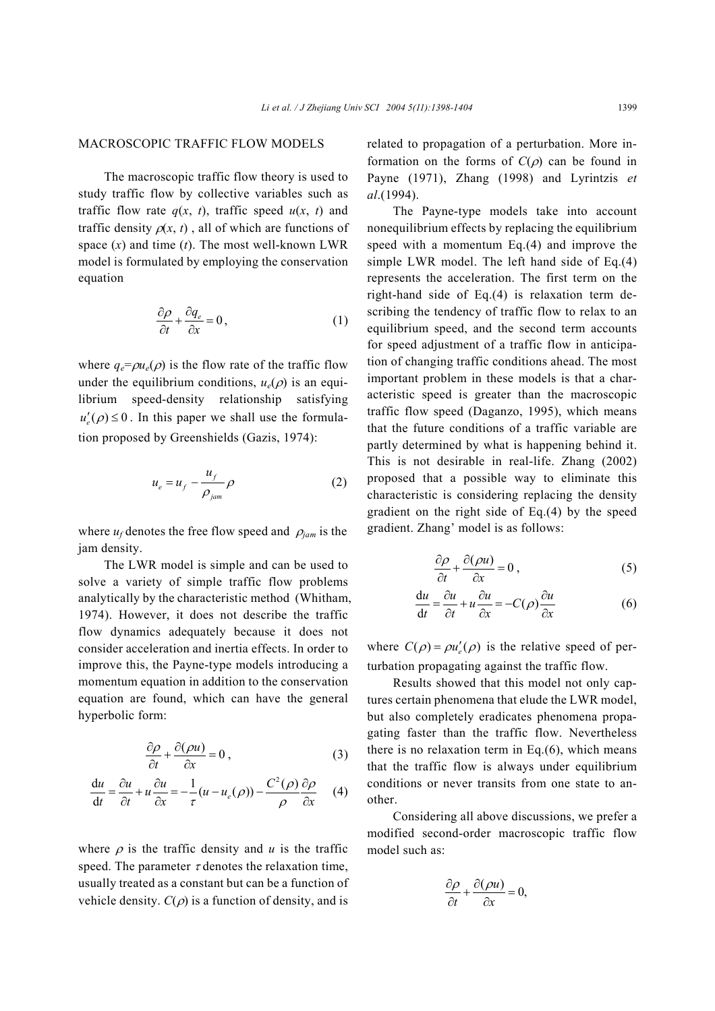## MACROSCOPIC TRAFFIC FLOW MODELS

The macroscopic traffic flow theory is used to study traffic flow by collective variables such as traffic flow rate  $q(x, t)$ , traffic speed  $u(x, t)$  and traffic density  $\rho(x, t)$ , all of which are functions of space  $(x)$  and time  $(t)$ . The most well-known LWR model is formulated by employing the conservation equation

$$
\frac{\partial \rho}{\partial t} + \frac{\partial q_e}{\partial x} = 0, \qquad (1)
$$

where  $q_e = \rho u_e(\rho)$  is the flow rate of the traffic flow under the equilibrium conditions,  $u_e(\rho)$  is an equilibrium speed-density relationship satisfying  $u'_{n}(\rho) \leq 0$ . In this paper we shall use the formulation proposed by Greenshields (Gazis, 1974):

$$
u_e = u_f - \frac{u_f}{\rho_{jam}} \rho
$$
 (2)

where  $u_f$  denotes the free flow speed and  $\rho_{\text{jam}}$  is the jam density.

The LWR model is simple and can be used to solve a variety of simple traffic flow problems analytically by the characteristic method (Whitham, 1974). However, it does not describe the traffic flow dynamics adequately because it does not consider acceleration and inertia effects. In order to improve this, the Payne-type models introducing a momentum equation in addition to the conservation equation are found, which can have the general hyperbolic form:

$$
\frac{\partial \rho}{\partial t} + \frac{\partial (\rho u)}{\partial x} = 0 , \qquad (3)
$$

$$
\frac{du}{dt} = \frac{\partial u}{\partial t} + u \frac{\partial u}{\partial x} = -\frac{1}{\tau} (u - u_e(\rho)) - \frac{C^2(\rho)}{\rho} \frac{\partial \rho}{\partial x}
$$
 (4)

where  $\rho$  is the traffic density and  $u$  is the traffic speed. The parameter  $\tau$  denotes the relaxation time, usually treated as a constant but can be a function of vehicle density.  $C(\rho)$  is a function of density, and is related to propagation of a perturbation. More information on the forms of  $C(\rho)$  can be found in Payne (1971), Zhang (1998) and Lyrintzis *et al*.(1994).

The Payne-type models take into account nonequilibrium effects by replacing the equilibrium speed with a momentum Eq.(4) and improve the simple LWR model. The left hand side of Eq.(4) represents the acceleration. The first term on the right-hand side of Eq.(4) is relaxation term describing the tendency of traffic flow to relax to an equilibrium speed, and the second term accounts for speed adjustment of a traffic flow in anticipation of changing traffic conditions ahead. The most important problem in these models is that a characteristic speed is greater than the macroscopic traffic flow speed (Daganzo, 1995), which means that the future conditions of a traffic variable are partly determined by what is happening behind it. This is not desirable in real-life. Zhang (2002) proposed that a possible way to eliminate this characteristic is considering replacing the density gradient on the right side of Eq.(4) by the speed gradient. Zhang' model is as follows:

$$
\frac{\partial \rho}{\partial t} + \frac{\partial (\rho u)}{\partial x} = 0 , \qquad (5)
$$

$$
\frac{du}{dt} = \frac{\partial u}{\partial t} + u \frac{\partial u}{\partial x} = -C(\rho) \frac{\partial u}{\partial x}
$$
(6)

where  $C(\rho) = \rho u'_e(\rho)$  is the relative speed of perturbation propagating against the traffic flow.

Results showed that this model not only captures certain phenomena that elude the LWR model, but also completely eradicates phenomena propagating faster than the traffic flow. Nevertheless there is no relaxation term in  $Eq.(6)$ , which means that the traffic flow is always under equilibrium conditions or never transits from one state to another.

Considering all above discussions, we prefer a modified second-order macroscopic traffic flow model such as:

$$
\frac{\partial \rho}{\partial t} + \frac{\partial(\rho u)}{\partial x} = 0,
$$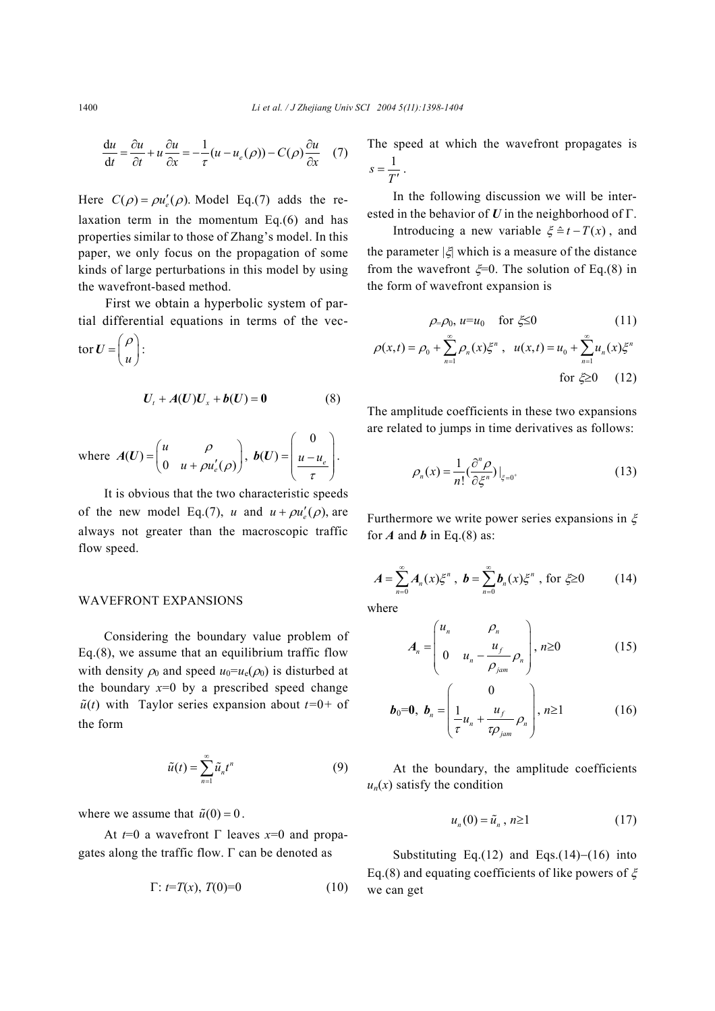$$
\frac{du}{dt} = \frac{\partial u}{\partial t} + u \frac{\partial u}{\partial x} = -\frac{1}{\tau} (u - u_e(\rho)) - C(\rho) \frac{\partial u}{\partial x} \quad (7)
$$

Here  $C(\rho) = \rho u'_e(\rho)$ . Model Eq.(7) adds the relaxation term in the momentum Eq.(6) and has properties similar to those of Zhang's model. In this paper, we only focus on the propagation of some kinds of large perturbations in this model by using the wavefront-based method.

First we obtain a hyperbolic system of partial differential equations in terms of the vec-

$$
\operatorname{tor} \boldsymbol{U} = \begin{pmatrix} \rho \\ u \end{pmatrix}:
$$

$$
U_t + A(U)U_x + b(U) = 0 \tag{8}
$$

where  $A(U) = \begin{pmatrix} u & \rho \\ 0 & u + \rho u_e'(\rho) \end{pmatrix}$  $u + \rho u$ ρ  $A(U) = \begin{pmatrix} u & \rho \\ 0 & u + \rho u_e'(\rho) \end{pmatrix},$ 0  $(U) = u - u_e$ τ  $=\left(\begin{array}{c} 0\\ u-u_e \end{array}\right)$  $\left(\begin{array}{cc} & \tau \end{array}\right)$ **.** 

It is obvious that the two characteristic speeds of the new model Eq.(7), *u* and  $u + \rho u'_{\alpha}(\rho)$ , are always not greater than the macroscopic traffic flow speed.

## WAVEFRONT EXPANSIONS

Considering the boundary value problem of Eq.(8), we assume that an equilibrium traffic flow with density  $\rho_0$  and speed  $u_0 = u_e(\rho_0)$  is disturbed at the boundary  $x=0$  by a prescribed speed change  $\tilde{u}(t)$  with Taylor series expansion about  $t=0+$  of the form

$$
\tilde{u}(t) = \sum_{n=1}^{\infty} \tilde{u}_n t^n \tag{9}
$$

where we assume that  $\tilde{u}(0) = 0$ .

At  $t=0$  a wavefront  $\Gamma$  leaves  $x=0$  and propagates along the traffic flow. Γ can be denoted as

$$
\Gamma: t = T(x), T(0) = 0 \tag{10}
$$

The speed at which the wavefront propagates is  $s=\frac{1}{T'}$ .

In the following discussion we will be interested in the behavior of *U* in the neighborhood of Γ.

Introducing a new variable  $\xi = t - T(x)$ , and the parameter  $|\xi|$  which is a measure of the distance from the wavefront  $\xi=0$ . The solution of Eq.(8) in the form of wavefront expansion is

$$
\rho = \rho_0, u = u_0 \quad \text{for } \xi \le 0 \tag{11}
$$

$$
\rho(x,t) = \rho_0 + \sum_{n=1}^{\infty} \rho_n(x) \xi^n, \quad u(x,t) = u_0 + \sum_{n=1}^{\infty} u_n(x) \xi^n
$$
  
for  $\xi \ge 0$  (12)

The amplitude coefficients in these two expansions are related to jumps in time derivatives as follows:

$$
\rho_n(x) = \frac{1}{n!} \left( \frac{\partial^n \rho}{\partial \xi^n} \right) \Big|_{\xi = 0^+}
$$
\n(13)

Furthermore we write power series expansions in  $\xi$ for  $A$  and  $b$  in Eq.(8) as:

$$
A = \sum_{n=0}^{\infty} A_n(x) \xi^n, \ b = \sum_{n=0}^{\infty} b_n(x) \xi^n, \text{ for } \xi \ge 0
$$
 (14)

where

$$
A_n = \begin{pmatrix} u_n & \rho_n \\ 0 & u_n - \frac{u_f}{\rho_{jam}} \rho_n \end{pmatrix}, \, n \ge 0 \tag{15}
$$

$$
\boldsymbol{b}_0 = \boldsymbol{0}, \ \boldsymbol{b}_n = \begin{pmatrix} 0 \\ \frac{1}{\tau} u_n + \frac{u_f}{\tau \rho_{jam}} \rho_n \end{pmatrix}, n \ge 1 \tag{16}
$$

At the boundary, the amplitude coefficients  $u_n(x)$  satisfy the condition

$$
u_n(0) = \tilde{u}_n, n \ge 1 \tag{17}
$$

Substituting Eq.(12) and Eqs.(14)−(16) into Eq.(8) and equating coefficients of like powers of  $\xi$ we can get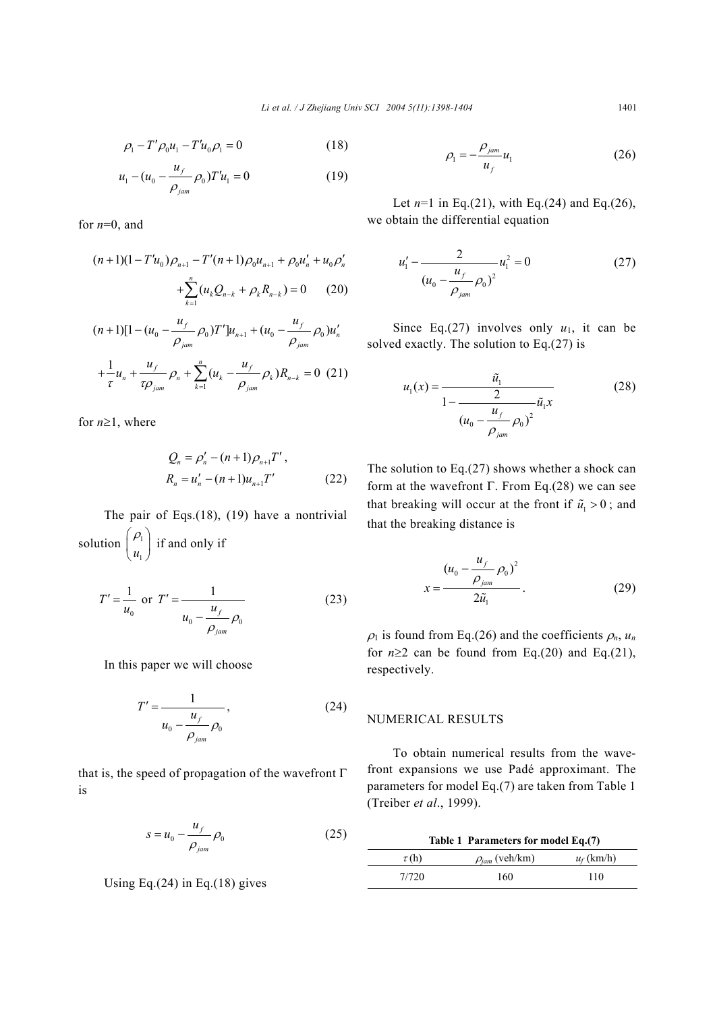$$
\rho_1 - T' \rho_0 u_1 - T' u_0 \rho_1 = 0 \tag{18}
$$

$$
u_1 - (u_0 - \frac{u_f}{\rho_{jam}} \rho_0) T' u_1 = 0 \tag{19}
$$

for *n*=0, and

$$
(n+1)(1-T'u_0)\rho_{n+1} - T'(n+1)\rho_0 u_{n+1} + \rho_0 u'_n + u_0 \rho'_n
$$
  
+ 
$$
\sum_{k=1}^n (u_k Q_{n-k} + \rho_k R_{n-k}) = 0
$$
 (20)

$$
(n+1)[1-(u_0 - \frac{u_f}{\rho_{jam}}\rho_0)T']u_{n+1} + (u_0 - \frac{u_f}{\rho_{jam}}\rho_0)u'_n
$$
  
+  $\frac{1}{\tau}u_n + \frac{u_f}{\tau\rho_{jam}}\rho_n + \sum_{k=1}^n (u_k - \frac{u_f}{\rho_{jam}}\rho_k)R_{n-k} = 0$  (21)

for *n*≥1, where

$$
Q_n = \rho'_n - (n+1)\rho_{n+1}T',
$$
  
\n
$$
R_n = u'_n - (n+1)u_{n+1}T'
$$
 (22)

The pair of Eqs.(18), (19) have a nontrivial solution  $\vert \frac{\mu_1}{\sigma_2} \vert$  $u<sub>1</sub>$  $(\rho_{\scriptscriptstyle 1}^{\scriptscriptstyle -})$  $\begin{pmatrix} \nu_1 \\ u_1 \end{pmatrix}$  if and only if

$$
T' = \frac{1}{u_0} \text{ or } T' = \frac{1}{u_0 - \frac{u_f}{\rho_{jam}}} \tag{23}
$$

In this paper we will choose

$$
T' = \frac{1}{u_0 - \frac{u_f}{\rho_{jam}} \rho_0},
$$
 (24)

that is, the speed of propagation of the wavefront  $\Gamma$ is

$$
s = u_0 - \frac{u_f}{\rho_{jam}} \rho_0 \tag{25}
$$

Using Eq. $(24)$  in Eq. $(18)$  gives

$$
\rho_1 = -\frac{\rho_{jam}}{u_f} u_1 \tag{26}
$$

Let  $n=1$  in Eq.(21), with Eq.(24) and Eq.(26), we obtain the differential equation

$$
u'_{1} - \frac{2}{(u_{0} - \frac{u_{f}}{\rho_{jam}}\rho_{0})^{2}} u_{1}^{2} = 0
$$
 (27)

Since Eq.(27) involves only  $u_1$ , it can be solved exactly. The solution to Eq.(27) is

$$
u_1(x) = \frac{\tilde{u}_1}{1 - \frac{2}{(u_0 - \frac{u_f}{\rho_{jam}}\rho_0)^2}} (28)
$$

The solution to Eq.(27) shows whether a shock can form at the wavefront  $\Gamma$ . From Eq.(28) we can see that breaking will occur at the front if  $\tilde{u}_1 > 0$ ; and that the breaking distance is

$$
x = \frac{(u_0 - \frac{u_f}{\rho_{jam}}\rho_0)^2}{2\tilde{u}_1}.
$$
 (29)

 $\rho_1$  is found from Eq.(26) and the coefficients  $\rho_n$ ,  $u_n$ for  $n \geq 2$  can be found from Eq.(20) and Eq.(21), respectively.

#### NUMERICAL RESULTS

To obtain numerical results from the wavefront expansions we use Padé approximant. The parameters for model Eq.(7) are taken from Table 1 (Treiber *et al*., 1999).

| Table 1 Parameters for model Eq.(7) |                       |              |
|-------------------------------------|-----------------------|--------------|
| $\tau(h)$                           | $\rho_{jam}$ (veh/km) | $u_f$ (km/h) |
| 7/720                               | 160                   | 110          |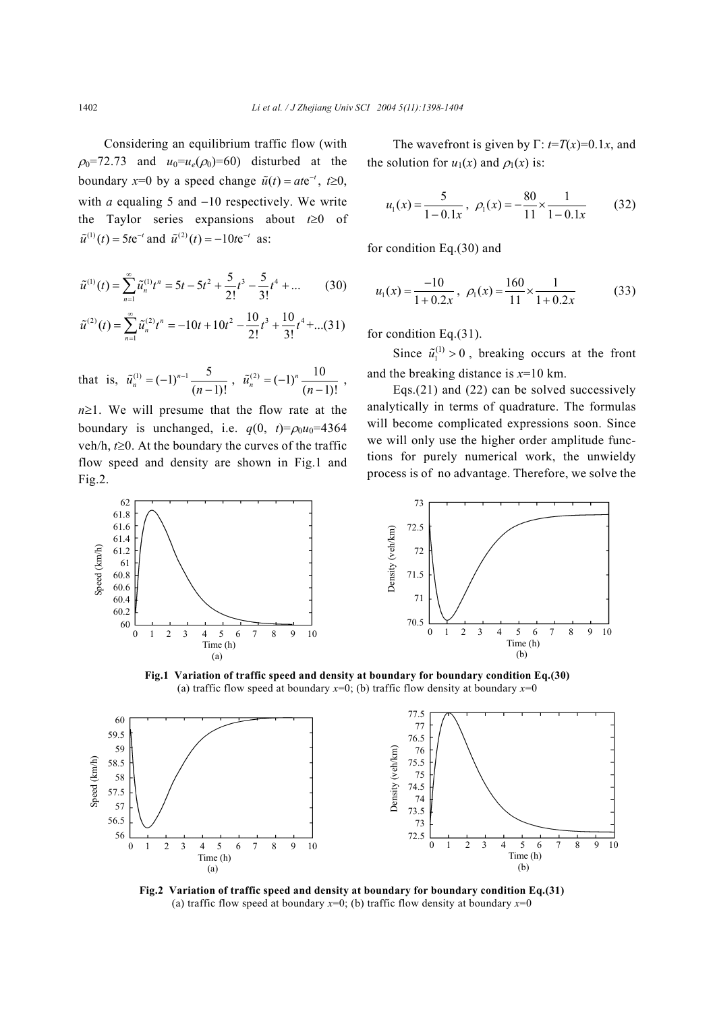Considering an equilibrium traffic flow (with  $\rho_0$ =72.73 and  $u_0=u_e(\rho_0)$ =60) disturbed at the boundary *x*=0 by a speed change  $\tilde{u}(t) = a t e^{-t}$ ,  $t \ge 0$ , with *a* equaling 5 and −10 respectively. We write the Taylor series expansions about *t*≥0 of  $\tilde{u}^{(1)}(t) = 5te^{-t}$  and  $\tilde{u}^{(2)}(t) = -10te^{-t}$  as:

$$
\tilde{u}^{(1)}(t) = \sum_{n=1}^{\infty} \tilde{u}_n^{(1)} t^n = 5t - 5t^2 + \frac{5}{2!}t^3 - \frac{5}{3!}t^4 + \dots \tag{30}
$$

$$
\tilde{u}^{(2)}(t) = \sum_{n=1}^{\infty} \tilde{u}_n^{(2)} t^n = -10t + 10t^2 - \frac{10}{2!}t^3 + \frac{10}{3!}t^4 + \dots (31)
$$

that is,  $\tilde{u}_n^{(1)} = (-1)^{n-1} \frac{5}{(n-1)!}$ ,  $\tilde{u}_n^{(2)} = (-1)^n \frac{10}{(n-1)!}$ ,

*n*≥1. We will presume that the flow rate at the boundary is unchanged, i.e.  $q(0, t) = \rho_0 u_0 = 4364$ veh/h, *t*≥0. At the boundary the curves of the traffic flow speed and density are shown in Fig.1 and Fig.2.

The wavefront is given by 
$$
\Gamma
$$
:  $t=T(x)=0.1x$ , and  
the solution for  $u_1(x)$  and  $\rho_1(x)$  is:

$$
u_1(x) = \frac{5}{1 - 0.1x}, \ \rho_1(x) = -\frac{80}{11} \times \frac{1}{1 - 0.1x} \tag{32}
$$

for condition Eq.(30) and

$$
u_1(x) = \frac{-10}{1 + 0.2x}, \ \rho_1(x) = \frac{160}{11} \times \frac{1}{1 + 0.2x}
$$
 (33)

for condition Eq.(31).

Since  $\tilde{u}_1^{(1)} > 0$ , breaking occurs at the front and the breaking distance is *x*=10 km.

Eqs.(21) and (22) can be solved successively analytically in terms of quadrature. The formulas will become complicated expressions soon. Since we will only use the higher order amplitude functions for purely numerical work, the unwieldy process is of no advantage. Therefore, we solve the





**Fig.1 Variation of traffic speed and density at boundary for boundary condition Eq.(30)**  (a) traffic flow speed at boundary  $x=0$ ; (b) traffic flow density at boundary  $x=0$ 



**Fig.2 Variation of traffic speed and density at boundary for boundary condition Eq.(31)**  (a) traffic flow speed at boundary  $x=0$ ; (b) traffic flow density at boundary  $x=0$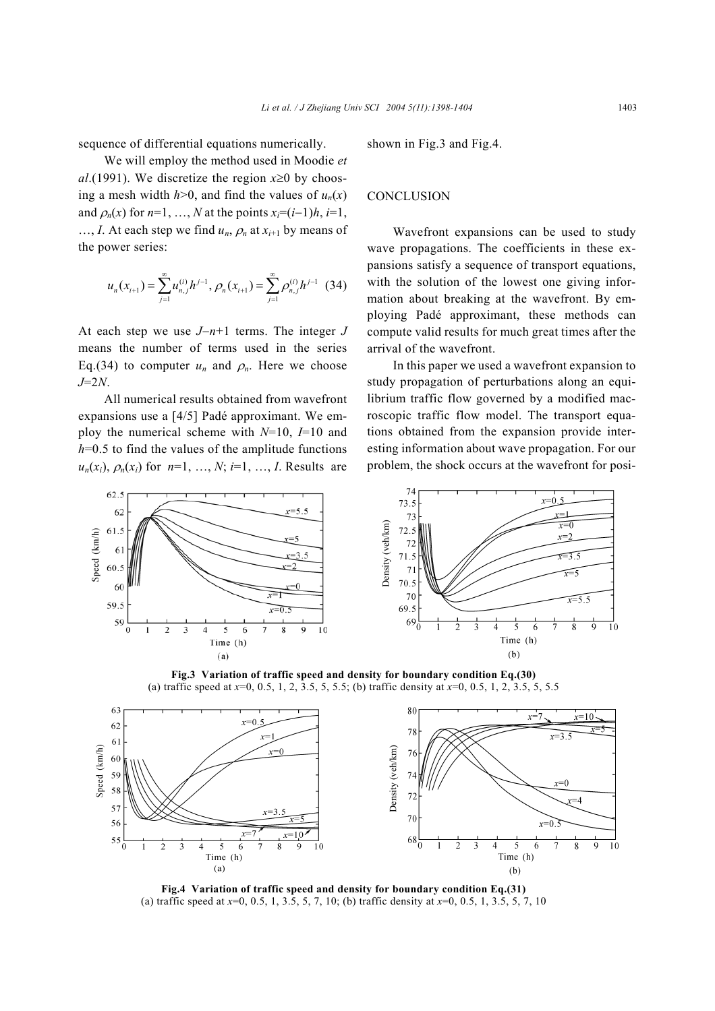sequence of differential equations numerically.

We will employ the method used in Moodie *et al*.(1991). We discretize the region  $x \ge 0$  by choosing a mesh width  $h > 0$ , and find the values of  $u_n(x)$ and  $\rho_n(x)$  for  $n=1, ..., N$  at the points  $x_i=(i-1)h, i=1,$ ..., *I*. At each step we find  $u_n$ ,  $\rho_n$  at  $x_{i+1}$  by means of the power series:

$$
u_n(x_{i+1}) = \sum_{j=1}^{\infty} u_{n,j}^{(i)} h^{j-1}, \rho_n(x_{i+1}) = \sum_{j=1}^{\infty} \rho_{n,j}^{(i)} h^{j-1}
$$
(34)

At each step we use *J*−*n*+1 terms. The integer *J* means the number of terms used in the series Eq.(34) to computer  $u_n$  and  $\rho_n$ . Here we choose *J*=2*N*.

All numerical results obtained from wavefront expansions use a [4/5] Padé approximant. We employ the numerical scheme with *N*=10, *I*=10 and  $h=0.5$  to find the values of the amplitude functions  $u_n(x_i)$ ,  $\rho_n(x_i)$  for  $n=1, ..., N$ ;  $i=1, ..., I$ . Results are shown in Fig.3 and Fig.4.

#### **CONCLUSION**

Wavefront expansions can be used to study wave propagations. The coefficients in these expansions satisfy a sequence of transport equations, with the solution of the lowest one giving information about breaking at the wavefront. By employing Padé approximant, these methods can compute valid results for much great times after the arrival of the wavefront.

In this paper we used a wavefront expansion to study propagation of perturbations along an equilibrium traffic flow governed by a modified macroscopic traffic flow model. The transport equations obtained from the expansion provide interesting information about wave propagation. For our problem, the shock occurs at the wavefront for posi-



**Fig.3 Variation of traffic speed and density for boundary condition Eq.(30)**  (a) traffic speed at *x*=0, 0.5, 1, 2, 3.5, 5, 5.5; (b) traffic density at *x*=0, 0.5, 1, 2, 3.5, 5, 5.5



**Fig.4 Variation of traffic speed and density for boundary condition Eq.(31)**